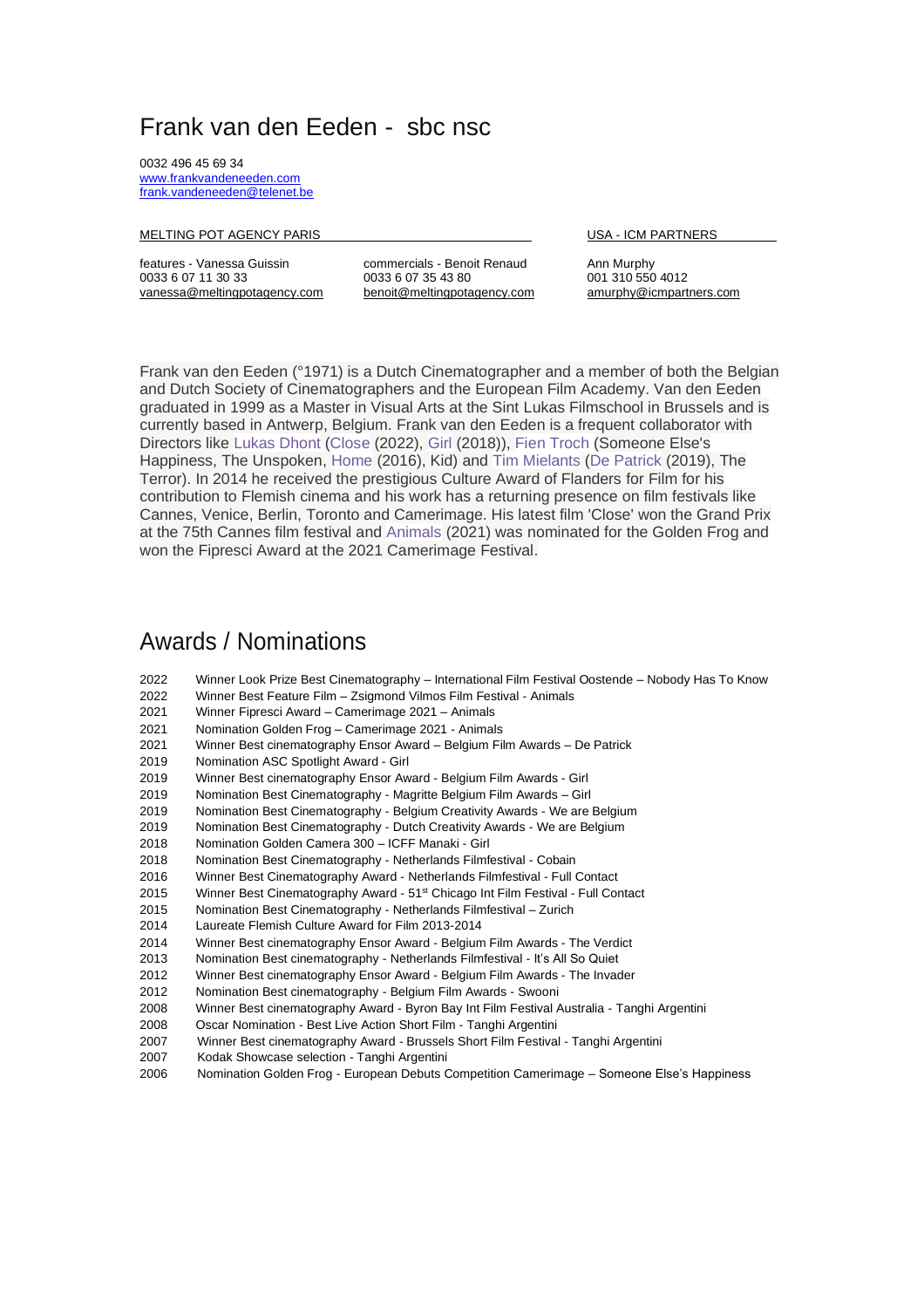## Frank van den Eeden - sbc nsc

0032 496 45 69 34 [www.frankvandeneeden.com](http://www.frankvandeneeden.com/)  [frank.vandeneeden@telenet.be](mailto:frank.vandeneeden@telenet.be) 

### MELTING POT AGENCY PARIS **EXECUTE A RELATION CONTROLLY PARTNERS** USA - ICM PARTNERS

features - Vanessa Guissin commercials - Benoit Renaud Ann Murphy

[vanessa@meltingpotagency.com](mailto:vanessa@meltingpotagency.com) [benoit@meltingpotagency.com](mailto:benoit@meltingpotagency.com) [amurphy@icmpartners.com](mailto:amurphy@icmpartners.com)

001 310 550 [4012](tel:0013105504012)

Frank van den Eeden (°1971) is a Dutch Cinematographer and a member of both the Belgian and Dutch Society of Cinematographers and the European Film Academy. Van den Eeden graduated in 1999 as a Master in Visual Arts at the Sint Lukas Filmschool in Brussels and is currently based in Antwerp, Belgium. Frank van den Eeden is a frequent collaborator with Directors like [Lukas Dhont](https://www.imdb.com/name/nm4080113?ref_=nmbio_mbio) [\(Close](https://www.imdb.com/title/tt9660502?ref_=nmbio_mbio) (2022), [Girl](https://www.imdb.com/title/tt8254556?ref_=nmbio_mbio) (2018)), [Fien Troch](https://www.imdb.com/name/nm0873260?ref_=nmbio_mbio) (Someone Else's Happiness, The Unspoken, [Home](https://www.imdb.com/title/tt4047846?ref_=nmbio_mbio) (2016), Kid) and [Tim Mielants](https://www.imdb.com/name/nm2139803?ref_=nmbio_mbio) [\(De Patrick](https://www.imdb.com/title/tt7618604?ref_=nmbio_mbio) (2019), The Terror). In 2014 he received the prestigious Culture Award of Flanders for Film for his contribution to Flemish cinema and his work has a returning presence on film festivals like Cannes, Venice, Berlin, Toronto and Camerimage. His latest film 'Close' won the Grand Prix at the 75th Cannes film festival and [Animals](https://www.imdb.com/title/tt10098452?ref_=nmbio_mbio) (2021) was nominated for the Golden Frog and won the Fipresci Award at the 2021 Camerimage Festival.

## Awards / Nominations

- 2022 Winner Look Prize Best Cinematography International Film Festival Oostende Nobody Has To Know
- 2022 Winner Best Feature Film Zsigmond Vilmos Film Festival Animals
- 2021 Winner Fipresci Award Camerimage 2021 Animals
- 2021 Nomination Golden Frog Camerimage 2021 Animals
- 2021 Winner Best cinematography Ensor Award Belgium Film Awards De Patrick
- 2019 Nomination ASC Spotlight Award Girl
- 2019 Winner Best cinematography Ensor Award Belgium Film Awards Girl
- 2019 Nomination Best Cinematography Magritte Belgium Film Awards Girl
- 2019 Nomination Best Cinematography Belgium Creativity Awards We are Belgium
- 2019 Nomination Best Cinematography Dutch Creativity Awards We are Belgium
- 2018 Nomination Golden Camera 300 ICFF Manaki Girl
- 2018 Nomination Best Cinematography Netherlands Filmfestival Cobain
- 2016 Winner Best Cinematography Award Netherlands Filmfestival Full Contact
- 2015 Winner Best Cinematography Award 51<sup>st</sup> Chicago Int Film Festival Full Contact
- 2015 Nomination Best Cinematography Netherlands Filmfestival Zurich
- 2014 Laureate Flemish Culture Award for Film 2013-2014
- 2014 Winner Best cinematography Ensor Award Belgium Film Awards The Verdict
- 2013 Nomination Best cinematography Netherlands Filmfestival It's All So Quiet
- 2012 Winner Best cinematography Ensor Award Belgium Film Awards The Invader
- 2012 Nomination Best cinematography Belgium Film Awards Swooni
- 2008 Winner Best cinematography Award Byron Bay Int Film Festival Australia Tanghi Argentini
- 2008 Oscar Nomination Best Live Action Short Film Tanghi Argentini
- 2007 Winner Best cinematography Award Brussels Short Film Festival Tanghi Argentini
- 2007 Kodak Showcase selection Tanghi Argentini
- 2006 Nomination Golden Frog European Debuts Competition Camerimage Someone Else's Happiness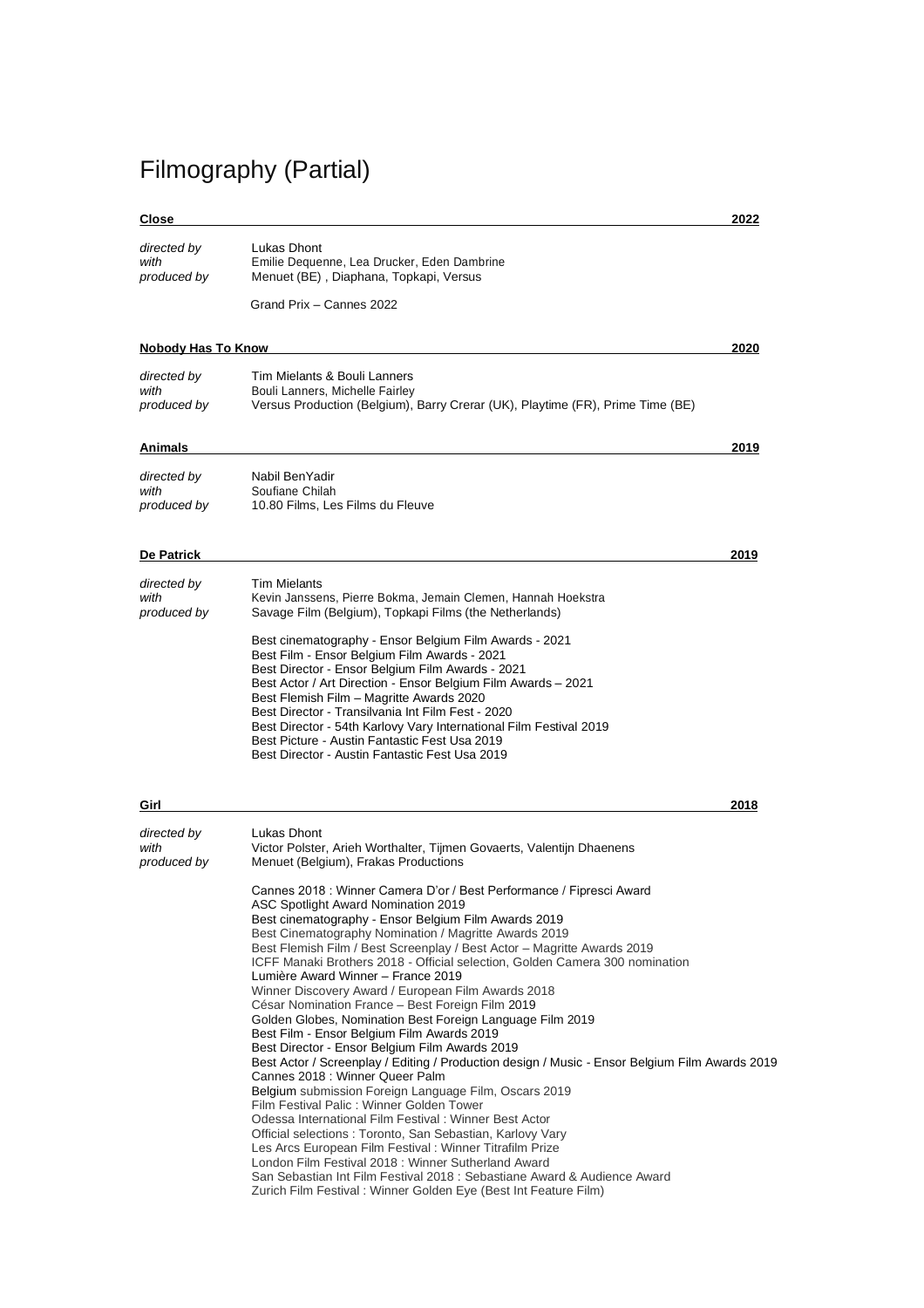# Filmography (Partial)

### **Close 2022**

| directed by | Lukas Dhont                                 |
|-------------|---------------------------------------------|
| with        | Emilie Dequenne, Lea Drucker, Eden Dambrine |
| produced by | Menuet (BE), Diaphana, Topkapi, Versus      |
|             |                                             |

Grand Prix – Cannes 2022

### **Nobody Has To Know 2020**

| directed by | Tim Mielants & Bouli Lanners                                                   |
|-------------|--------------------------------------------------------------------------------|
| with        | Bouli Lanners, Michelle Fairley                                                |
| produced by | Versus Production (Belgium), Barry Crerar (UK), Playtime (FR), Prime Time (BE) |

### **Animals 2019**

| directed by | Nabil BenYadir                   |
|-------------|----------------------------------|
| with        | Soufiane Chilah                  |
| produced by | 10.80 Films, Les Films du Fleuve |

### **De Patrick 2019**

| directed by | <b>Tim Mielants</b>                                                                                                                                                                                                                                                                                                                                                                                                                                                                                   |
|-------------|-------------------------------------------------------------------------------------------------------------------------------------------------------------------------------------------------------------------------------------------------------------------------------------------------------------------------------------------------------------------------------------------------------------------------------------------------------------------------------------------------------|
| with        | Kevin Janssens, Pierre Bokma, Jemain Clemen, Hannah Hoekstra                                                                                                                                                                                                                                                                                                                                                                                                                                          |
| produced by | Savage Film (Belgium), Topkapi Films (the Netherlands)                                                                                                                                                                                                                                                                                                                                                                                                                                                |
|             | Best cinematography - Ensor Belgium Film Awards - 2021<br>Best Film - Ensor Belgium Film Awards - 2021<br>Best Director - Ensor Belgium Film Awards - 2021<br>Best Actor / Art Direction - Ensor Belgium Film Awards - 2021<br>Best Flemish Film - Magritte Awards 2020<br>Best Director - Transilvania Int Film Fest - 2020<br>Best Director - 54th Karlovy Vary International Film Festival 2019<br>Best Picture - Austin Fantastic Fest Usa 2019<br>Best Director - Austin Fantastic Fest Usa 2019 |

| Girl                               | 2018                                                                                                                                                                                                                                                                                                                                                                                                                                                                                                                                                                                                                                                                                                                                                                                                                                                                                                                                                                                                                                                                                                                                                                                                                                                               |
|------------------------------------|--------------------------------------------------------------------------------------------------------------------------------------------------------------------------------------------------------------------------------------------------------------------------------------------------------------------------------------------------------------------------------------------------------------------------------------------------------------------------------------------------------------------------------------------------------------------------------------------------------------------------------------------------------------------------------------------------------------------------------------------------------------------------------------------------------------------------------------------------------------------------------------------------------------------------------------------------------------------------------------------------------------------------------------------------------------------------------------------------------------------------------------------------------------------------------------------------------------------------------------------------------------------|
| directed by<br>with<br>produced by | Lukas Dhont<br>Victor Polster, Arieh Worthalter, Tijmen Govaerts, Valentijn Dhaenens<br>Menuet (Belgium), Frakas Productions                                                                                                                                                                                                                                                                                                                                                                                                                                                                                                                                                                                                                                                                                                                                                                                                                                                                                                                                                                                                                                                                                                                                       |
|                                    | Cannes 2018 : Winner Camera D'or / Best Performance / Fipresci Award<br>ASC Spotlight Award Nomination 2019<br>Best cinematography - Ensor Belgium Film Awards 2019<br>Best Cinematography Nomination / Magritte Awards 2019<br>Best Flemish Film / Best Screenplay / Best Actor - Magritte Awards 2019<br>ICFF Manaki Brothers 2018 - Official selection, Golden Camera 300 nomination<br>Lumière Award Winner – France 2019<br>Winner Discovery Award / European Film Awards 2018<br>César Nomination France - Best Foreign Film 2019<br>Golden Globes, Nomination Best Foreign Language Film 2019<br>Best Film - Ensor Belgium Film Awards 2019<br>Best Director - Ensor Belgium Film Awards 2019<br>Best Actor / Screenplay / Editing / Production design / Music - Ensor Belgium Film Awards 2019<br>Cannes 2018 : Winner Queer Palm<br>Belgium submission Foreign Language Film, Oscars 2019<br>Film Festival Palic: Winner Golden Tower<br>Odessa International Film Festival: Winner Best Actor<br>Official selections: Toronto, San Sebastian, Karlovy Vary<br>Les Arcs European Film Festival: Winner Titrafilm Prize<br>London Film Festival 2018 : Winner Sutherland Award<br>San Sebastian Int Film Festival 2018 : Sebastiane Award & Audience Award |
|                                    | Zurich Film Festival: Winner Golden Eye (Best Int Feature Film)                                                                                                                                                                                                                                                                                                                                                                                                                                                                                                                                                                                                                                                                                                                                                                                                                                                                                                                                                                                                                                                                                                                                                                                                    |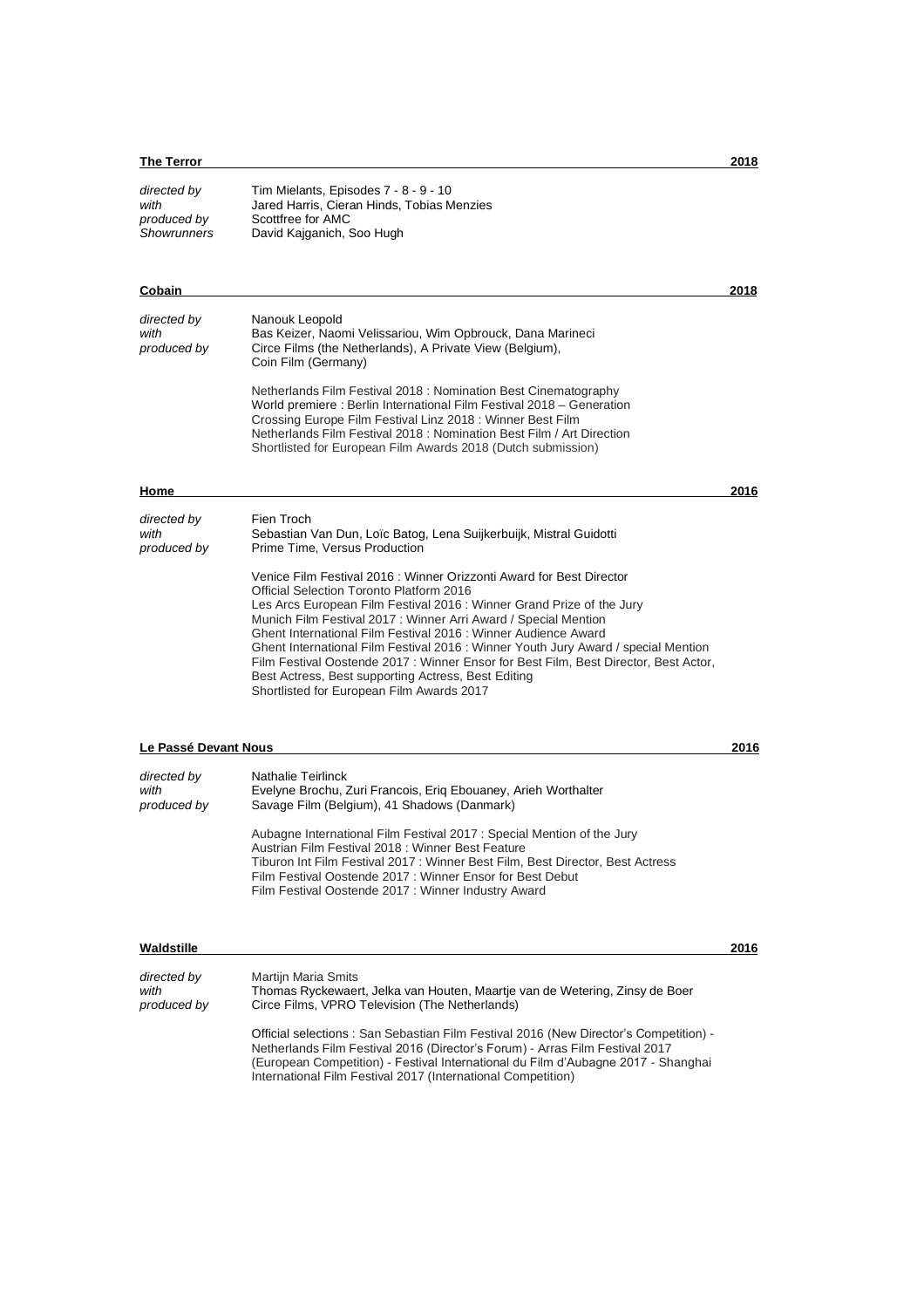### **The Terror 2018**

| directed by<br>with<br>produced by<br>Showrunners | Tim Mielants, Episodes 7 - 8 - 9 - 10<br>Jared Harris, Cieran Hinds, Tobias Menzies<br>Scottfree for AMC<br>David Kajganich, Soo Hugh |      |
|---------------------------------------------------|---------------------------------------------------------------------------------------------------------------------------------------|------|
| Cobain                                            |                                                                                                                                       | 2018 |

| directed by<br>with<br>produced by | Nanouk Leopold<br>Bas Keizer, Naomi Velissariou, Wim Opbrouck, Dana Marineci<br>Circe Films (the Netherlands), A Private View (Belgium),<br>Coin Film (Germany)                                                                                                                                                                               |      |
|------------------------------------|-----------------------------------------------------------------------------------------------------------------------------------------------------------------------------------------------------------------------------------------------------------------------------------------------------------------------------------------------|------|
|                                    | Netherlands Film Festival 2018 : Nomination Best Cinematography<br>World premiere: Berlin International Film Festival 2018 – Generation<br>Crossing Europe Film Festival Linz 2018: Winner Best Film<br>Netherlands Film Festival 2018 : Nomination Best Film / Art Direction<br>Shortlisted for European Film Awards 2018 (Dutch submission) |      |
| Home                               |                                                                                                                                                                                                                                                                                                                                               | 2016 |
| directed by<br>with<br>produced by | Fien Troch<br>Sebastian Van Dun, Loïc Batog, Lena Suijkerbuijk, Mistral Guidotti<br>Prime Time, Versus Production                                                                                                                                                                                                                             |      |
|                                    | Venice Film Festival 2016 : Winner Orizzonti Award for Best Director<br>Official Selection Toronto Platform 2016                                                                                                                                                                                                                              |      |

Les Arcs European Film Festival 2016 : Winner Grand Prize of the Jury Munich Film Festival 2017 : Winner Arri Award / Special Mention Ghent International Film Festival 2016 : Winner Audience Award Ghent International Film Festival 2016 : Winner Youth Jury Award / special Mention Film Festival Oostende 2017 : Winner Ensor for Best Film, Best Director, Best Actor, Best Actress, Best supporting Actress, Best Editing Shortlisted for European Film Awards 2017

### **Le Passé Devant Nous 2016**

| directed by<br>with<br>produced by | Nathalie Teirlinck<br>Evelyne Brochu, Zuri Francois, Erig Ebouaney, Arieh Worthalter<br>Savage Film (Belgium), 41 Shadows (Danmark)                                                                                                                                                                                            |  |
|------------------------------------|--------------------------------------------------------------------------------------------------------------------------------------------------------------------------------------------------------------------------------------------------------------------------------------------------------------------------------|--|
|                                    | Aubagne International Film Festival 2017: Special Mention of the Jury<br>Austrian Film Festival 2018 : Winner Best Feature<br>Tiburon Int Film Festival 2017 : Winner Best Film, Best Director, Best Actress<br>Film Festival Oostende 2017: Winner Ensor for Best Debut<br>Film Festival Oostende 2017: Winner Industry Award |  |

### **Waldstille 2016**

| directed by | <b>Martijn Maria Smits</b>                                                                                                                                                                                                                                                                                                |
|-------------|---------------------------------------------------------------------------------------------------------------------------------------------------------------------------------------------------------------------------------------------------------------------------------------------------------------------------|
| with        | Thomas Ryckewaert, Jelka van Houten, Maartje van de Wetering, Zinsy de Boer                                                                                                                                                                                                                                               |
| produced by | Circe Films, VPRO Television (The Netherlands)                                                                                                                                                                                                                                                                            |
|             | Official selections: San Sebastian Film Festival 2016 (New Director's Competition) -<br>Netherlands Film Festival 2016 (Director's Forum) - Arras Film Festival 2017<br>(European Competition) - Festival International du Film d'Aubagne 2017 - Shanghai<br>International Film Festival 2017 (International Competition) |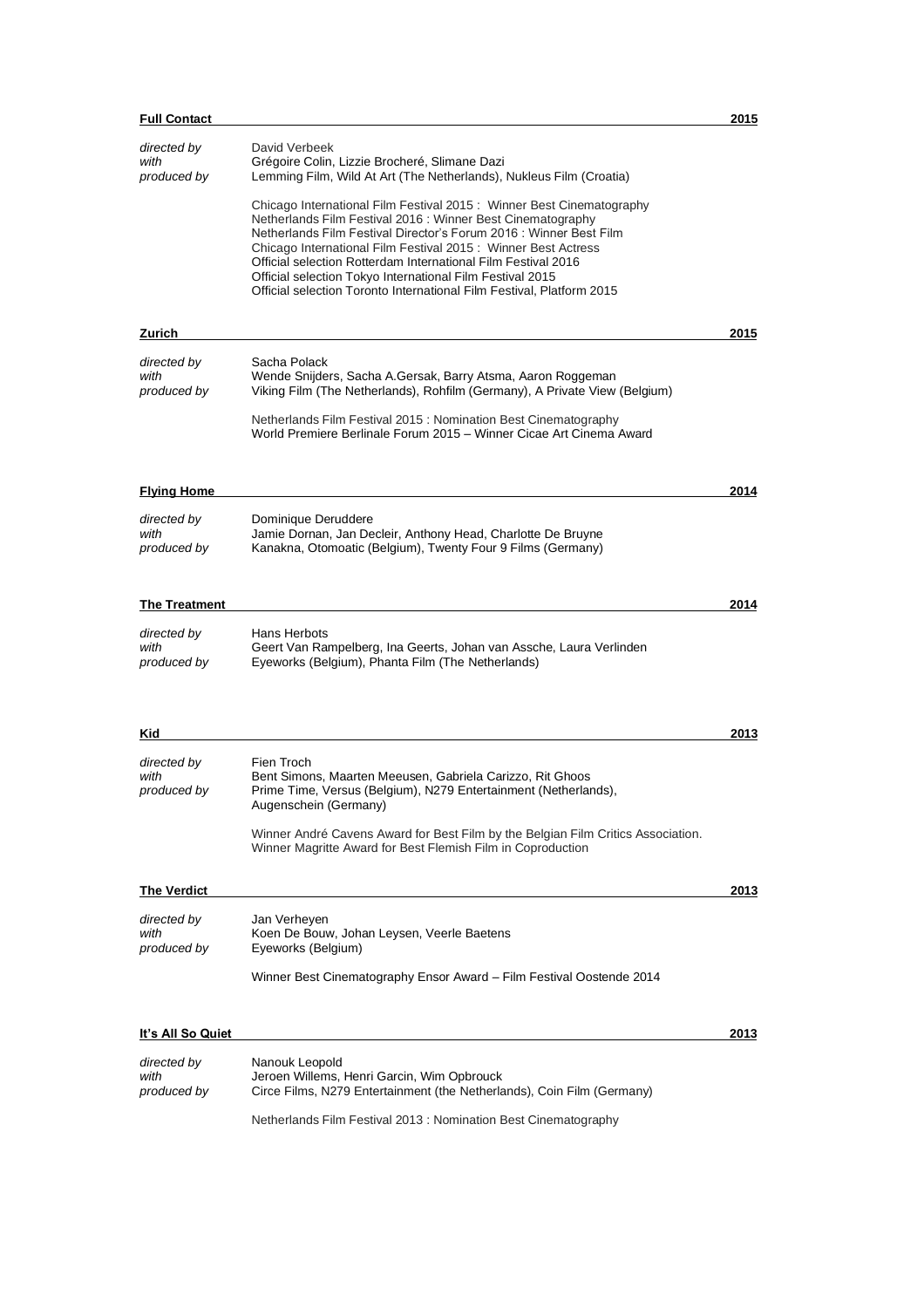| <b>Full Contact</b>                |                                                                                                                                                                                                                                                                                                                                                                                                                                                                                   | 2015 |
|------------------------------------|-----------------------------------------------------------------------------------------------------------------------------------------------------------------------------------------------------------------------------------------------------------------------------------------------------------------------------------------------------------------------------------------------------------------------------------------------------------------------------------|------|
| directed by<br>with<br>produced by | David Verbeek<br>Grégoire Colin, Lizzie Brocheré, Slimane Dazi<br>Lemming Film, Wild At Art (The Netherlands), Nukleus Film (Croatia)                                                                                                                                                                                                                                                                                                                                             |      |
|                                    | Chicago International Film Festival 2015: Winner Best Cinematography<br>Netherlands Film Festival 2016 : Winner Best Cinematography<br>Netherlands Film Festival Director's Forum 2016 : Winner Best Film<br>Chicago International Film Festival 2015: Winner Best Actress<br>Official selection Rotterdam International Film Festival 2016<br>Official selection Tokyo International Film Festival 2015<br>Official selection Toronto International Film Festival, Platform 2015 |      |
| Zurich                             |                                                                                                                                                                                                                                                                                                                                                                                                                                                                                   | 2015 |
| directed by                        | Sacha Polack                                                                                                                                                                                                                                                                                                                                                                                                                                                                      |      |
| with<br>produced by                | Wende Snijders, Sacha A.Gersak, Barry Atsma, Aaron Roggeman<br>Viking Film (The Netherlands), Rohfilm (Germany), A Private View (Belgium)                                                                                                                                                                                                                                                                                                                                         |      |
|                                    | Netherlands Film Festival 2015 : Nomination Best Cinematography<br>World Premiere Berlinale Forum 2015 – Winner Cicae Art Cinema Award                                                                                                                                                                                                                                                                                                                                            |      |
| <b>Flying Home</b>                 |                                                                                                                                                                                                                                                                                                                                                                                                                                                                                   | 2014 |
| directed by<br>with<br>produced by | Dominique Deruddere<br>Jamie Dornan, Jan Decleir, Anthony Head, Charlotte De Bruyne<br>Kanakna, Otomoatic (Belgium), Twenty Four 9 Films (Germany)                                                                                                                                                                                                                                                                                                                                |      |
| <b>The Treatment</b>               |                                                                                                                                                                                                                                                                                                                                                                                                                                                                                   | 2014 |
| directed by<br>with<br>produced by | Hans Herbots<br>Geert Van Rampelberg, Ina Geerts, Johan van Assche, Laura Verlinden<br>Eyeworks (Belgium), Phanta Film (The Netherlands)                                                                                                                                                                                                                                                                                                                                          |      |
| Kid                                |                                                                                                                                                                                                                                                                                                                                                                                                                                                                                   | 2013 |
| directed by                        | Fien Troch                                                                                                                                                                                                                                                                                                                                                                                                                                                                        |      |
| with<br>produced by                | Bent Simons, Maarten Meeusen, Gabriela Carizzo, Rit Ghoos<br>Prime Time, Versus (Belgium), N279 Entertainment (Netherlands),<br>Augenschein (Germany)                                                                                                                                                                                                                                                                                                                             |      |
|                                    | Winner André Cavens Award for Best Film by the Belgian Film Critics Association.<br>Winner Magritte Award for Best Flemish Film in Coproduction                                                                                                                                                                                                                                                                                                                                   |      |
| <b>The Verdict</b>                 |                                                                                                                                                                                                                                                                                                                                                                                                                                                                                   | 2013 |
| directed by<br>with<br>produced by | Jan Verheyen<br>Koen De Bouw, Johan Leysen, Veerle Baetens<br>Eyeworks (Belgium)                                                                                                                                                                                                                                                                                                                                                                                                  |      |
|                                    | Winner Best Cinematography Ensor Award – Film Festival Oostende 2014                                                                                                                                                                                                                                                                                                                                                                                                              |      |
| It's All So Quiet                  |                                                                                                                                                                                                                                                                                                                                                                                                                                                                                   | 2013 |
| directed by                        | Nanouk Leopold                                                                                                                                                                                                                                                                                                                                                                                                                                                                    |      |
| with<br>produced by                | Jeroen Willems, Henri Garcin, Wim Opbrouck<br>Circe Films, N279 Entertainment (the Netherlands), Coin Film (Germany)                                                                                                                                                                                                                                                                                                                                                              |      |
|                                    | Netherlands Film Festival 2013 : Nomination Best Cinematography                                                                                                                                                                                                                                                                                                                                                                                                                   |      |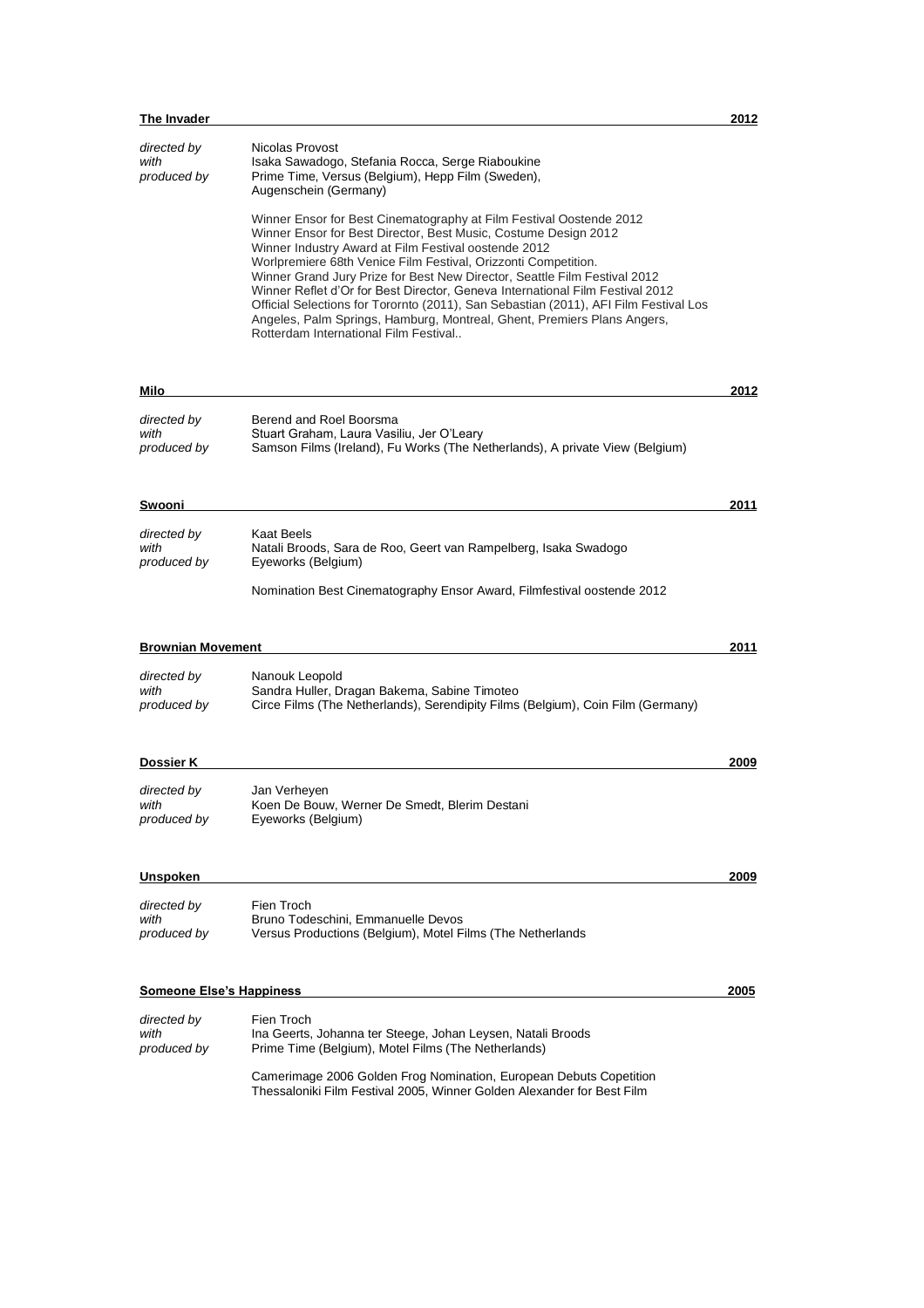| The Invader                        |                                                                                                                                                                                                                                                                                                                                                                                                                                                                                                                                                                     | 2012 |
|------------------------------------|---------------------------------------------------------------------------------------------------------------------------------------------------------------------------------------------------------------------------------------------------------------------------------------------------------------------------------------------------------------------------------------------------------------------------------------------------------------------------------------------------------------------------------------------------------------------|------|
| directed by<br>with<br>produced by | Nicolas Provost<br>Isaka Sawadogo, Stefania Rocca, Serge Riaboukine<br>Prime Time, Versus (Belgium), Hepp Film (Sweden),<br>Augenschein (Germany)<br>Winner Ensor for Best Cinematography at Film Festival Oostende 2012                                                                                                                                                                                                                                                                                                                                            |      |
|                                    | Winner Ensor for Best Director, Best Music, Costume Design 2012<br>Winner Industry Award at Film Festival oostende 2012<br>Worlpremiere 68th Venice Film Festival, Orizzonti Competition.<br>Winner Grand Jury Prize for Best New Director, Seattle Film Festival 2012<br>Winner Reflet d'Or for Best Director, Geneva International Film Festival 2012<br>Official Selections for Torornto (2011), San Sebastian (2011), AFI Film Festival Los<br>Angeles, Palm Springs, Hamburg, Montreal, Ghent, Premiers Plans Angers,<br>Rotterdam International Film Festival |      |
| Milo                               |                                                                                                                                                                                                                                                                                                                                                                                                                                                                                                                                                                     | 2012 |
| directed by<br>with<br>produced by | Berend and Roel Boorsma<br>Stuart Graham, Laura Vasiliu, Jer O'Leary<br>Samson Films (Ireland), Fu Works (The Netherlands), A private View (Belgium)                                                                                                                                                                                                                                                                                                                                                                                                                |      |
| Swooni                             |                                                                                                                                                                                                                                                                                                                                                                                                                                                                                                                                                                     | 2011 |
| directed by<br>with<br>produced by | Kaat Beels<br>Natali Broods, Sara de Roo, Geert van Rampelberg, Isaka Swadogo<br>Eyeworks (Belgium)                                                                                                                                                                                                                                                                                                                                                                                                                                                                 |      |
|                                    | Nomination Best Cinematography Ensor Award, Filmfestival oostende 2012                                                                                                                                                                                                                                                                                                                                                                                                                                                                                              |      |
| <b>Brownian Movement</b>           |                                                                                                                                                                                                                                                                                                                                                                                                                                                                                                                                                                     | 2011 |
| directed by<br>with<br>produced by | Nanouk Leopold<br>Sandra Huller, Dragan Bakema, Sabine Timoteo<br>Circe Films (The Netherlands), Serendipity Films (Belgium), Coin Film (Germany)                                                                                                                                                                                                                                                                                                                                                                                                                   |      |
| <b>Dossier K</b>                   |                                                                                                                                                                                                                                                                                                                                                                                                                                                                                                                                                                     | 2009 |
| directed by<br>with<br>produced by | Jan Verheyen<br>Koen De Bouw, Werner De Smedt, Blerim Destani<br>Eyeworks (Belgium)                                                                                                                                                                                                                                                                                                                                                                                                                                                                                 |      |
| <b>Unspoken</b>                    |                                                                                                                                                                                                                                                                                                                                                                                                                                                                                                                                                                     | 2009 |
| directed by<br>with<br>produced by | Fien Troch<br>Bruno Todeschini, Emmanuelle Devos<br>Versus Productions (Belgium), Motel Films (The Netherlands                                                                                                                                                                                                                                                                                                                                                                                                                                                      |      |
| <b>Someone Else's Happiness</b>    |                                                                                                                                                                                                                                                                                                                                                                                                                                                                                                                                                                     | 2005 |
| directed by<br>with<br>produced by | Fien Troch<br>Ina Geerts, Johanna ter Steege, Johan Leysen, Natali Broods<br>Prime Time (Belgium), Motel Films (The Netherlands)                                                                                                                                                                                                                                                                                                                                                                                                                                    |      |
|                                    | Camerimage 2006 Golden Frog Nomination, European Debuts Copetition<br>Thessaloniki Film Festival 2005, Winner Golden Alexander for Best Film                                                                                                                                                                                                                                                                                                                                                                                                                        |      |